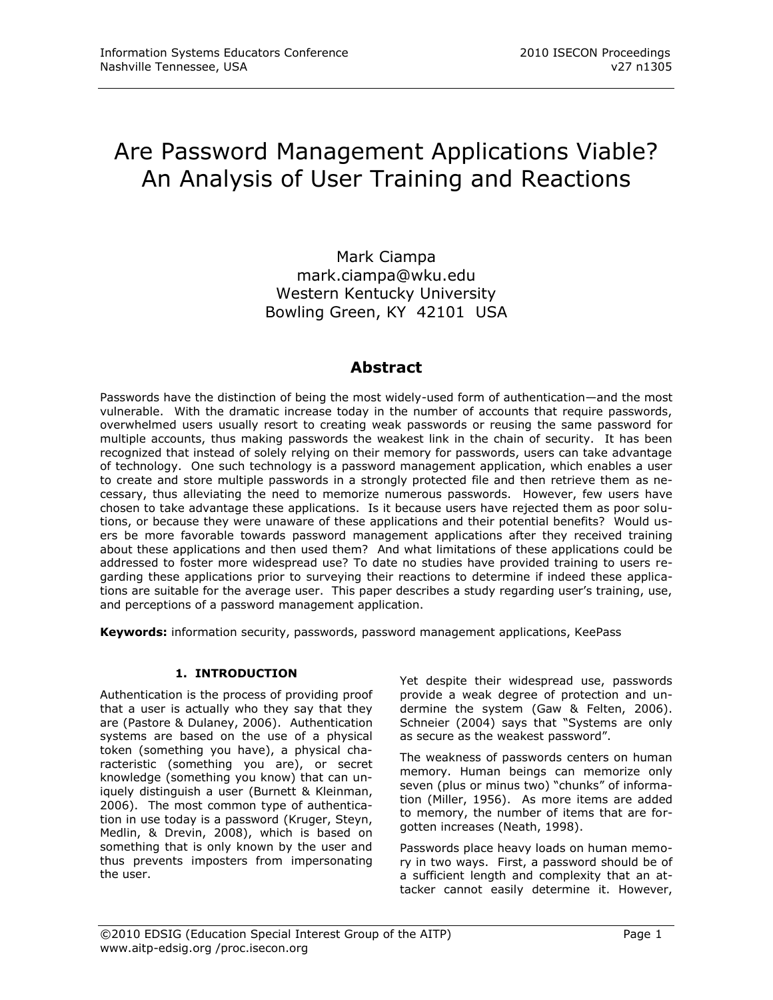# Are Password Management Applications Viable? An Analysis of User Training and Reactions

Mark Ciampa mark.ciampa@wku.edu Western Kentucky University Bowling Green, KY 42101 USA

# **Abstract**

Passwords have the distinction of being the most widely-used form of authentication—and the most vulnerable. With the dramatic increase today in the number of accounts that require passwords, overwhelmed users usually resort to creating weak passwords or reusing the same password for multiple accounts, thus making passwords the weakest link in the chain of security. It has been recognized that instead of solely relying on their memory for passwords, users can take advantage of technology. One such technology is a password management application, which enables a user to create and store multiple passwords in a strongly protected file and then retrieve them as necessary, thus alleviating the need to memorize numerous passwords. However, few users have chosen to take advantage these applications. Is it because users have rejected them as poor solutions, or because they were unaware of these applications and their potential benefits? Would users be more favorable towards password management applications after they received training about these applications and then used them? And what limitations of these applications could be addressed to foster more widespread use? To date no studies have provided training to users regarding these applications prior to surveying their reactions to determine if indeed these applications are suitable for the average user. This paper describes a study regarding user's training, use, and perceptions of a password management application.

**Keywords:** information security, passwords, password management applications, KeePass

#### **1. INTRODUCTION**

Authentication is the process of providing proof that a user is actually who they say that they are (Pastore & Dulaney, 2006). Authentication systems are based on the use of a physical token (something you have), a physical characteristic (something you are), or secret knowledge (something you know) that can uniquely distinguish a user (Burnett & Kleinman, 2006). The most common type of authentication in use today is a password (Kruger, Steyn, Medlin, & Drevin, 2008), which is based on something that is only known by the user and thus prevents imposters from impersonating the user.

Yet despite their widespread use, passwords provide a weak degree of protection and undermine the system (Gaw & Felten, 2006). Schneier (2004) says that "Systems are only as secure as the weakest password".

The weakness of passwords centers on human memory. Human beings can memorize only seven (plus or minus two) "chunks" of information (Miller, 1956). As more items are added to memory, the number of items that are forgotten increases (Neath, 1998).

Passwords place heavy loads on human memory in two ways. First, a password should be of a sufficient length and complexity that an attacker cannot easily determine it. However,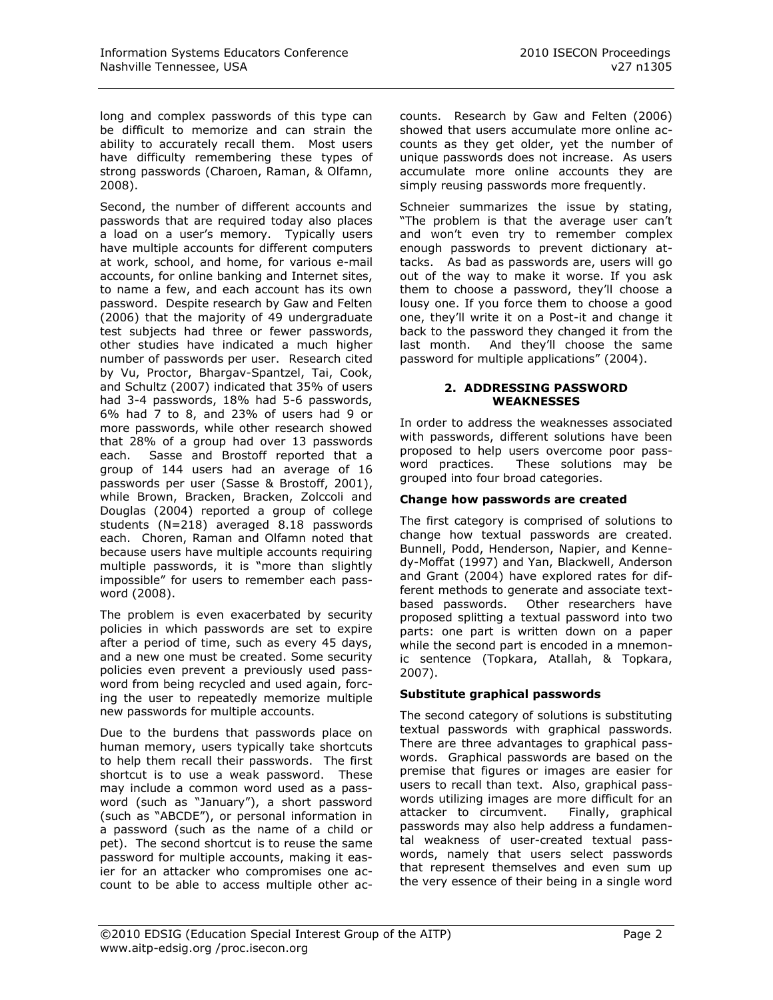long and complex passwords of this type can be difficult to memorize and can strain the ability to accurately recall them. Most users have difficulty remembering these types of strong passwords (Charoen, Raman, & Olfamn, 2008).

Second, the number of different accounts and passwords that are required today also places a load on a user's memory. Typically users have multiple accounts for different computers at work, school, and home, for various e-mail accounts, for online banking and Internet sites, to name a few, and each account has its own password. Despite research by Gaw and Felten (2006) that the majority of 49 undergraduate test subjects had three or fewer passwords, other studies have indicated a much higher number of passwords per user. Research cited by Vu, Proctor, Bhargav-Spantzel, Tai, Cook, and Schultz (2007) indicated that 35% of users had 3-4 passwords, 18% had 5-6 passwords, 6% had 7 to 8, and 23% of users had 9 or more passwords, while other research showed that 28% of a group had over 13 passwords each. Sasse and Brostoff reported that a group of 144 users had an average of 16 passwords per user (Sasse & Brostoff, 2001), while Brown, Bracken, Bracken, Zolccoli and Douglas (2004) reported a group of college students (N=218) averaged 8.18 passwords each. Choren, Raman and Olfamn noted that because users have multiple accounts requiring multiple passwords, it is "more than slightly impossible" for users to remember each password (2008).

The problem is even exacerbated by security policies in which passwords are set to expire after a period of time, such as every 45 days, and a new one must be created. Some security policies even prevent a previously used password from being recycled and used again, forcing the user to repeatedly memorize multiple new passwords for multiple accounts.

Due to the burdens that passwords place on human memory, users typically take shortcuts to help them recall their passwords. The first shortcut is to use a weak password. These may include a common word used as a password (such as "January"), a short password (such as "ABCDE"), or personal information in a password (such as the name of a child or pet). The second shortcut is to reuse the same password for multiple accounts, making it easier for an attacker who compromises one account to be able to access multiple other accounts. Research by Gaw and Felten (2006) showed that users accumulate more online accounts as they get older, yet the number of unique passwords does not increase. As users accumulate more online accounts they are simply reusing passwords more frequently.

Schneier summarizes the issue by stating, "The problem is that the average user can't and won't even try to remember complex enough passwords to prevent dictionary attacks. As bad as passwords are, users will go out of the way to make it worse. If you ask them to choose a password, they'll choose a lousy one. If you force them to choose a good one, they'll write it on a Post-it and change it back to the password they changed it from the last month. And they'll choose the same password for multiple applications" (2004).

#### **2. ADDRESSING PASSWORD WEAKNESSES**

In order to address the weaknesses associated with passwords, different solutions have been proposed to help users overcome poor password practices. These solutions may be grouped into four broad categories.

# **Change how passwords are created**

The first category is comprised of solutions to change how textual passwords are created. Bunnell, Podd, Henderson, Napier, and Kennedy-Moffat (1997) and Yan, Blackwell, Anderson and Grant (2004) have explored rates for different methods to generate and associate textbased passwords. Other researchers have proposed splitting a textual password into two parts: one part is written down on a paper while the second part is encoded in a mnemonic sentence (Topkara, Atallah, & Topkara, 2007).

# **Substitute graphical passwords**

The second category of solutions is substituting textual passwords with graphical passwords. There are three advantages to graphical passwords. Graphical passwords are based on the premise that figures or images are easier for users to recall than text. Also, graphical passwords utilizing images are more difficult for an attacker to circumvent. Finally, graphical passwords may also help address a fundamental weakness of user-created textual passwords, namely that users select passwords that represent themselves and even sum up the very essence of their being in a single word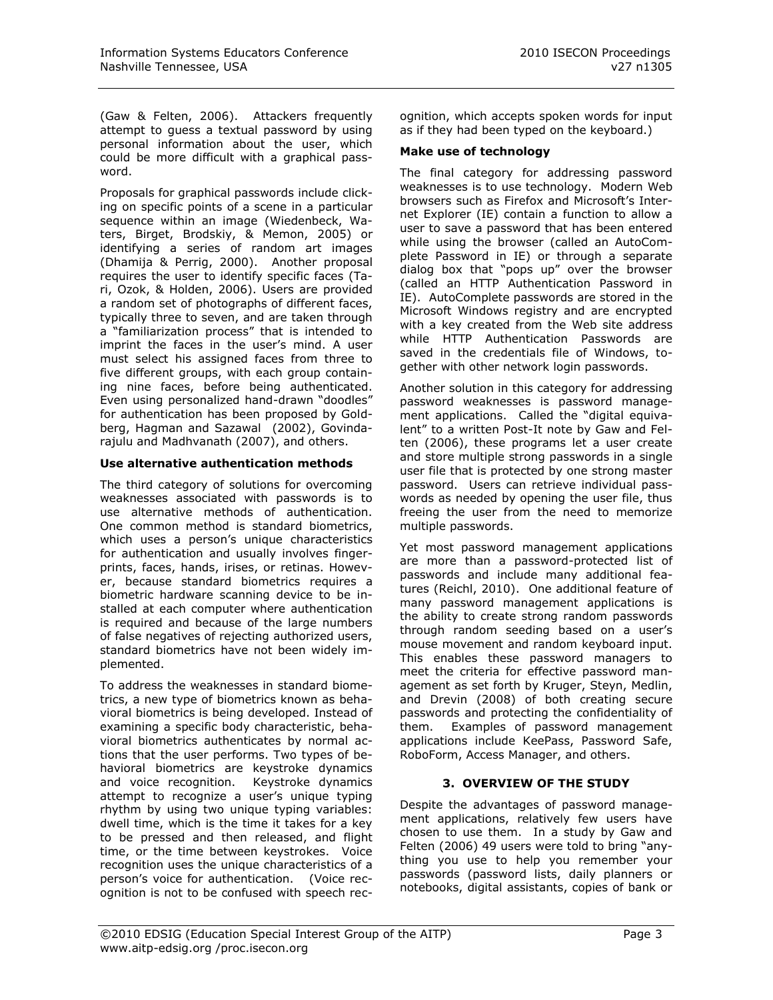(Gaw & Felten, 2006). Attackers frequently attempt to guess a textual password by using personal information about the user, which could be more difficult with a graphical password.

Proposals for graphical passwords include clicking on specific points of a scene in a particular sequence within an image (Wiedenbeck, Waters, Birget, Brodskiy, & Memon, 2005) or identifying a series of random art images (Dhamija & Perrig, 2000). Another proposal requires the user to identify specific faces (Tari, Ozok, & Holden, 2006). Users are provided a random set of photographs of different faces, typically three to seven, and are taken through a "familiarization process" that is intended to imprint the faces in the user's mind. A user must select his assigned faces from three to five different groups, with each group containing nine faces, before being authenticated. Even using personalized hand-drawn "doodles" for authentication has been proposed by Goldberg, Hagman and Sazawal (2002), Govindarajulu and Madhvanath (2007), and others.

#### **Use alternative authentication methods**

The third category of solutions for overcoming weaknesses associated with passwords is to use alternative methods of authentication. One common method is standard biometrics, which uses a person's unique characteristics for authentication and usually involves fingerprints, faces, hands, irises, or retinas. However, because standard biometrics requires a biometric hardware scanning device to be installed at each computer where authentication is required and because of the large numbers of false negatives of rejecting authorized users, standard biometrics have not been widely implemented.

To address the weaknesses in standard biometrics, a new type of biometrics known as behavioral biometrics is being developed. Instead of examining a specific body characteristic, behavioral biometrics authenticates by normal actions that the user performs. Two types of behavioral biometrics are keystroke dynamics and voice recognition. Keystroke dynamics attempt to recognize a user's unique typing rhythm by using two unique typing variables: dwell time, which is the time it takes for a key to be pressed and then released, and flight time, or the time between keystrokes. Voice recognition uses the unique characteristics of a person's voice for authentication. (Voice recognition is not to be confused with speech recognition, which accepts spoken words for input as if they had been typed on the keyboard.)

#### **Make use of technology**

The final category for addressing password weaknesses is to use technology. Modern Web browsers such as Firefox and Microsoft's Internet Explorer (IE) contain a function to allow a user to save a password that has been entered while using the browser (called an AutoComplete Password in IE) or through a separate dialog box that "pops up" over the browser (called an HTTP Authentication Password in IE). AutoComplete passwords are stored in the Microsoft Windows registry and are encrypted with a key created from the Web site address while HTTP Authentication Passwords are saved in the credentials file of Windows, together with other network login passwords.

Another solution in this category for addressing password weaknesses is password management applications. Called the "digital equivalent" to a written Post-It note by Gaw and Felten (2006), these programs let a user create and store multiple strong passwords in a single user file that is protected by one strong master password. Users can retrieve individual passwords as needed by opening the user file, thus freeing the user from the need to memorize multiple passwords.

Yet most password management applications are more than a password-protected list of passwords and include many additional features (Reichl, 2010). One additional feature of many password management applications is the ability to create strong random passwords through random seeding based on a user's mouse movement and random keyboard input. This enables these password managers to meet the criteria for effective password management as set forth by Kruger, Steyn, Medlin, and Drevin (2008) of both creating secure passwords and protecting the confidentiality of them. Examples of password management applications include KeePass, Password Safe, RoboForm, Access Manager, and others.

# **3. OVERVIEW OF THE STUDY**

Despite the advantages of password management applications, relatively few users have chosen to use them. In a study by Gaw and Felten (2006) 49 users were told to bring "anything you use to help you remember your passwords (password lists, daily planners or notebooks, digital assistants, copies of bank or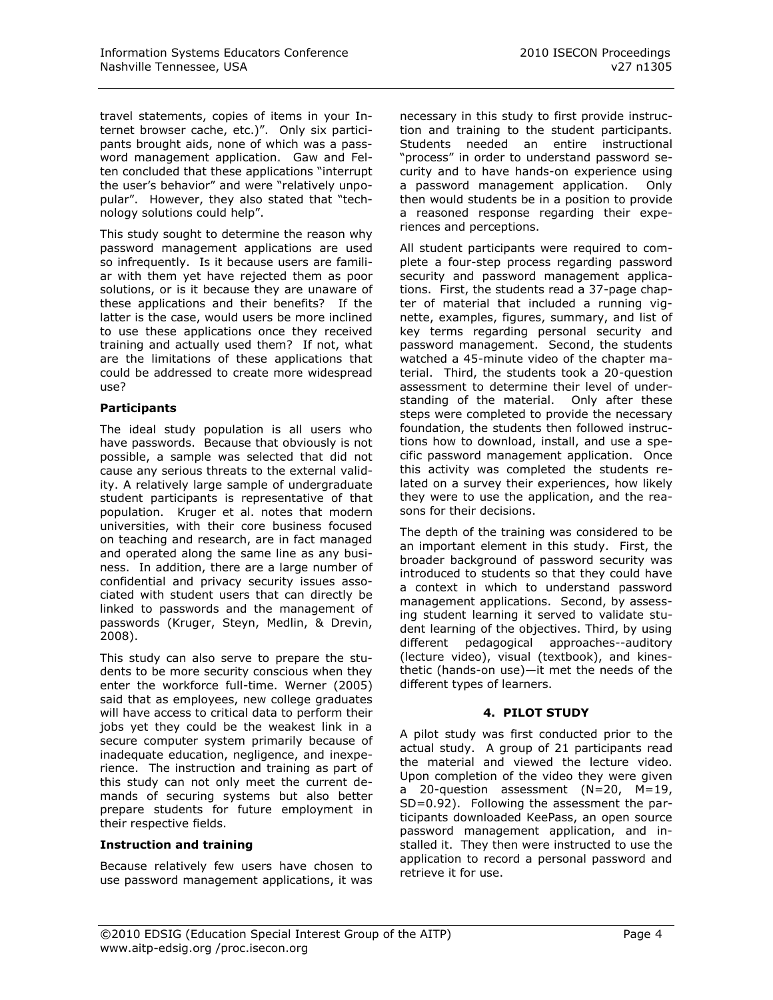travel statements, copies of items in your Internet browser cache, etc.)". Only six participants brought aids, none of which was a password management application. Gaw and Felten concluded that these applications "interrupt the user's behavior" and were "relatively unpopular". However, they also stated that "technology solutions could help".

This study sought to determine the reason why password management applications are used so infrequently. Is it because users are familiar with them yet have rejected them as poor solutions, or is it because they are unaware of these applications and their benefits? If the latter is the case, would users be more inclined to use these applications once they received training and actually used them? If not, what are the limitations of these applications that could be addressed to create more widespread use?

#### **Participants**

The ideal study population is all users who have passwords. Because that obviously is not possible, a sample was selected that did not cause any serious threats to the external validity. A relatively large sample of undergraduate student participants is representative of that population. Kruger et al. notes that modern universities, with their core business focused on teaching and research, are in fact managed and operated along the same line as any business. In addition, there are a large number of confidential and privacy security issues associated with student users that can directly be linked to passwords and the management of passwords (Kruger, Steyn, Medlin, & Drevin, 2008).

This study can also serve to prepare the students to be more security conscious when they enter the workforce full-time. Werner (2005) said that as employees, new college graduates will have access to critical data to perform their jobs yet they could be the weakest link in a secure computer system primarily because of inadequate education, negligence, and inexperience. The instruction and training as part of this study can not only meet the current demands of securing systems but also better prepare students for future employment in their respective fields.

#### **Instruction and training**

Because relatively few users have chosen to use password management applications, it was

necessary in this study to first provide instruction and training to the student participants. Students needed an entire instructional "process" in order to understand password security and to have hands-on experience using a password management application. Only then would students be in a position to provide a reasoned response regarding their experiences and perceptions.

All student participants were required to complete a four-step process regarding password security and password management applications. First, the students read a 37-page chapter of material that included a running vignette, examples, figures, summary, and list of key terms regarding personal security and password management. Second, the students watched a 45-minute video of the chapter material. Third, the students took a 20-question assessment to determine their level of understanding of the material. Only after these steps were completed to provide the necessary foundation, the students then followed instructions how to download, install, and use a specific password management application. Once this activity was completed the students related on a survey their experiences, how likely they were to use the application, and the reasons for their decisions.

The depth of the training was considered to be an important element in this study. First, the broader background of password security was introduced to students so that they could have a context in which to understand password management applications. Second, by assessing student learning it served to validate student learning of the objectives. Third, by using different pedagogical approaches--auditory (lecture video), visual (textbook), and kinesthetic (hands-on use)—it met the needs of the different types of learners.

# **4. PILOT STUDY**

A pilot study was first conducted prior to the actual study. A group of 21 participants read the material and viewed the lecture video. Upon completion of the video they were given a 20-question assessment (N=20, M=19, SD=0.92). Following the assessment the participants downloaded KeePass, an open source password management application, and installed it. They then were instructed to use the application to record a personal password and retrieve it for use.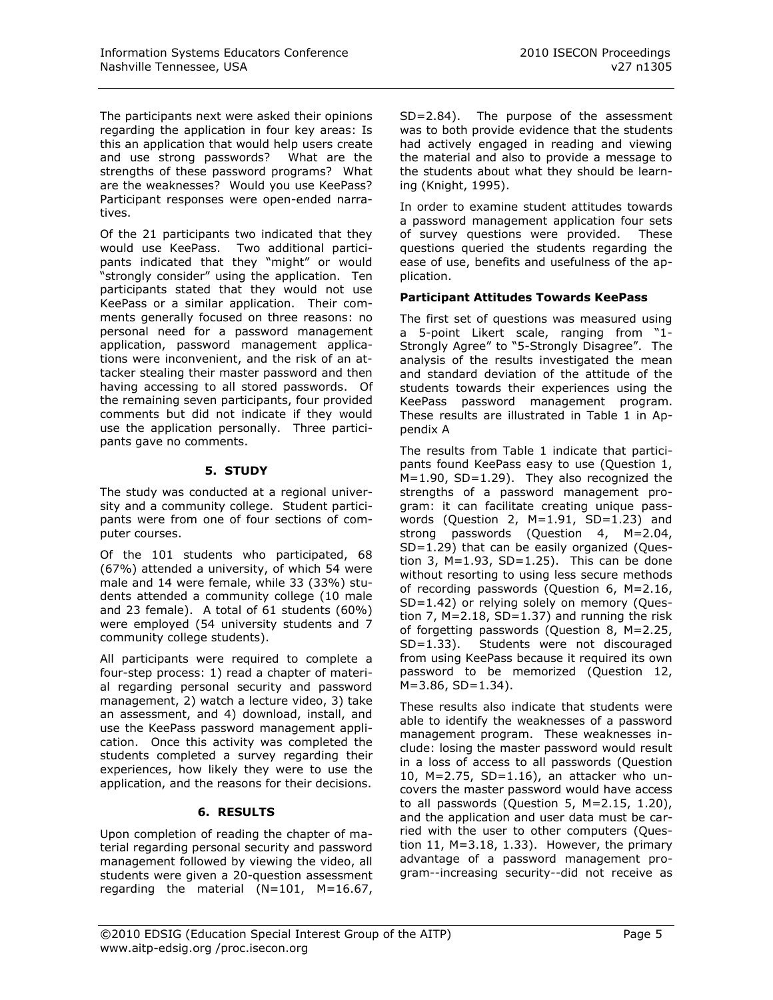The participants next were asked their opinions regarding the application in four key areas: Is this an application that would help users create and use strong passwords? What are the strengths of these password programs? What are the weaknesses? Would you use KeePass? Participant responses were open-ended narratives.

Of the 21 participants two indicated that they would use KeePass. Two additional participants indicated that they "might" or would "strongly consider" using the application. Ten participants stated that they would not use KeePass or a similar application. Their comments generally focused on three reasons: no personal need for a password management application, password management applications were inconvenient, and the risk of an attacker stealing their master password and then having accessing to all stored passwords. Of the remaining seven participants, four provided comments but did not indicate if they would use the application personally. Three participants gave no comments.

# **5. STUDY**

The study was conducted at a regional university and a community college. Student participants were from one of four sections of computer courses.

Of the 101 students who participated, 68 (67%) attended a university, of which 54 were male and 14 were female, while 33 (33%) students attended a community college (10 male and 23 female). A total of 61 students (60%) were employed (54 university students and 7 community college students).

All participants were required to complete a four-step process: 1) read a chapter of material regarding personal security and password management, 2) watch a lecture video, 3) take an assessment, and 4) download, install, and use the KeePass password management application. Once this activity was completed the students completed a survey regarding their experiences, how likely they were to use the application, and the reasons for their decisions.

# **6. RESULTS**

Upon completion of reading the chapter of material regarding personal security and password management followed by viewing the video, all students were given a 20-question assessment regarding the material (N=101, M=16.67, SD=2.84). The purpose of the assessment was to both provide evidence that the students had actively engaged in reading and viewing the material and also to provide a message to the students about what they should be learning (Knight, 1995).

In order to examine student attitudes towards a password management application four sets of survey questions were provided. These questions queried the students regarding the ease of use, benefits and usefulness of the application.

# **Participant Attitudes Towards KeePass**

The first set of questions was measured using a 5-point Likert scale, ranging from "1- Strongly Agree" to "5-Strongly Disagree". The analysis of the results investigated the mean and standard deviation of the attitude of the students towards their experiences using the KeePass password management program. These results are illustrated in Table 1 in Appendix A

The results from Table 1 indicate that participants found KeePass easy to use (Question 1, M=1.90, SD=1.29). They also recognized the strengths of a password management program: it can facilitate creating unique passwords (Question 2, M=1.91, SD=1.23) and strong passwords (Question 4, M=2.04, SD=1.29) that can be easily organized (Question 3,  $M=1.93$ ,  $SD=1.25$ ). This can be done without resorting to using less secure methods of recording passwords (Question 6, M=2.16, SD=1.42) or relying solely on memory (Question 7,  $M=2.18$ ,  $SD=1.37$ ) and running the risk of forgetting passwords (Question 8, M=2.25, SD=1.33). Students were not discouraged from using KeePass because it required its own password to be memorized (Question 12,  $M=3.86$ ,  $SD=1.34$ ).

These results also indicate that students were able to identify the weaknesses of a password management program. These weaknesses include: losing the master password would result in a loss of access to all passwords (Question 10, M=2.75, SD=1.16), an attacker who uncovers the master password would have access to all passwords (Question 5, M=2.15, 1.20), and the application and user data must be carried with the user to other computers (Question 11,  $M=3.18$ , 1.33). However, the primary advantage of a password management program--increasing security--did not receive as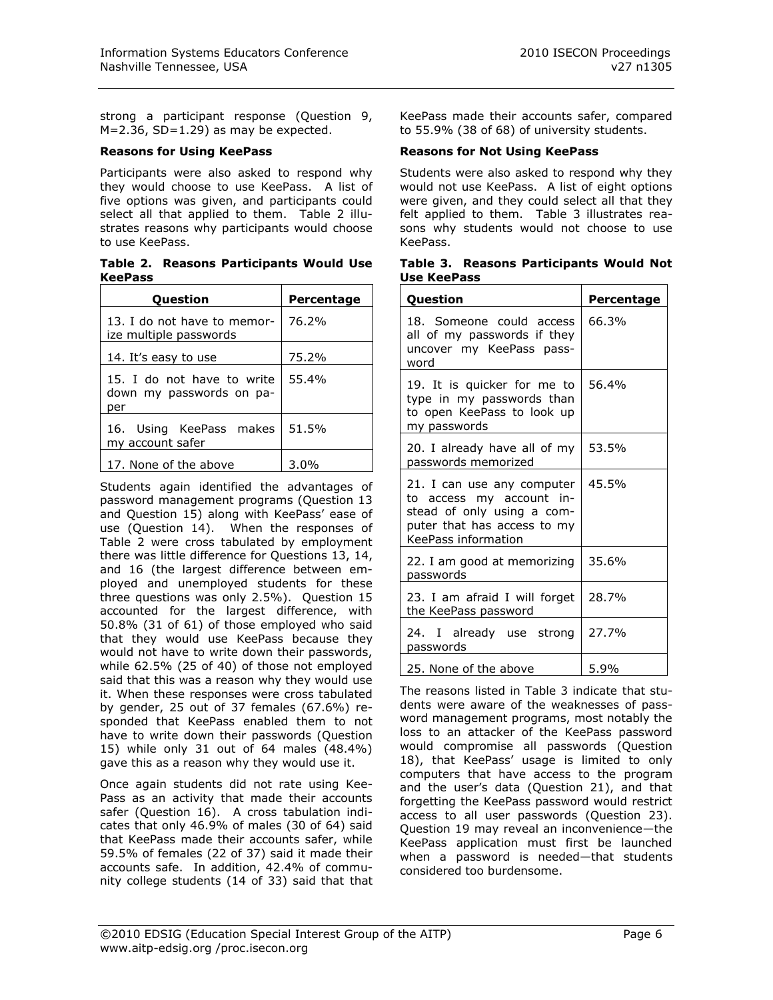strong a participant response (Question 9,  $M=2.36$ , SD=1.29) as may be expected.

#### **Reasons for Using KeePass**

Participants were also asked to respond why they would choose to use KeePass. A list of five options was given, and participants could select all that applied to them. Table 2 illustrates reasons why participants would choose to use KeePass.

**Table 2. Reasons Participants Would Use KeePass**

| <b>Question</b>                                               | <b>Percentage</b> |
|---------------------------------------------------------------|-------------------|
| 13. I do not have to memor-<br>ize multiple passwords         | 76.2%             |
| 14. It's easy to use                                          | 75.2%             |
| 15. I do not have to write<br>down my passwords on pa-<br>per | 55.4%             |
| 16. Using KeePass makes<br>my account safer                   | 51.5%             |
| 17. None of the above                                         | $3.0\%$           |

Students again identified the advantages of password management programs (Question 13 and Question 15) along with KeePass' ease of use (Question 14). When the responses of Table 2 were cross tabulated by employment there was little difference for Questions 13, 14, and 16 (the largest difference between employed and unemployed students for these three questions was only 2.5%). Question 15 accounted for the largest difference, with 50.8% (31 of 61) of those employed who said that they would use KeePass because they would not have to write down their passwords, while 62.5% (25 of 40) of those not employed said that this was a reason why they would use it. When these responses were cross tabulated by gender, 25 out of 37 females (67.6%) responded that KeePass enabled them to not have to write down their passwords (Question 15) while only 31 out of 64 males (48.4%) gave this as a reason why they would use it.

Once again students did not rate using Kee-Pass as an activity that made their accounts safer (Question 16). A cross tabulation indicates that only 46.9% of males (30 of 64) said that KeePass made their accounts safer, while 59.5% of females (22 of 37) said it made their accounts safe. In addition, 42.4% of community college students (14 of 33) said that that KeePass made their accounts safer, compared to 55.9% (38 of 68) of university students.

#### **Reasons for Not Using KeePass**

Students were also asked to respond why they would not use KeePass. A list of eight options were given, and they could select all that they felt applied to them. Table 3 illustrates reasons why students would not choose to use KeePass.

|             | Table 3. Reasons Participants Would Not |  |
|-------------|-----------------------------------------|--|
| Use KeePass |                                         |  |

| Question                                                                                                                                   | Percentage |
|--------------------------------------------------------------------------------------------------------------------------------------------|------------|
| 18. Someone could access<br>all of my passwords if they<br>uncover my KeePass pass-<br>word                                                | 66.3%      |
| 19. It is quicker for me to<br>type in my passwords than<br>to open KeePass to look up<br>my passwords                                     | 56.4%      |
| 20. I already have all of my<br>passwords memorized                                                                                        | 53.5%      |
| 21. I can use any computer<br>to access my account in-<br>stead of only using a com-<br>puter that has access to my<br>KeePass information | 45.5%      |
| 22. I am good at memorizing<br>passwords                                                                                                   | 35.6%      |
| 23. I am afraid I will forget<br>the KeePass password                                                                                      | 28.7%      |
| 24. I already use strong<br>passwords                                                                                                      | 27.7%      |
| 25. None of the above                                                                                                                      | 5.9%       |

The reasons listed in Table 3 indicate that students were aware of the weaknesses of password management programs, most notably the loss to an attacker of the KeePass password would compromise all passwords (Question 18), that KeePass' usage is limited to only computers that have access to the program and the user's data (Question 21), and that forgetting the KeePass password would restrict access to all user passwords (Question 23). Question 19 may reveal an inconvenience—the KeePass application must first be launched when a password is needed—that students considered too burdensome.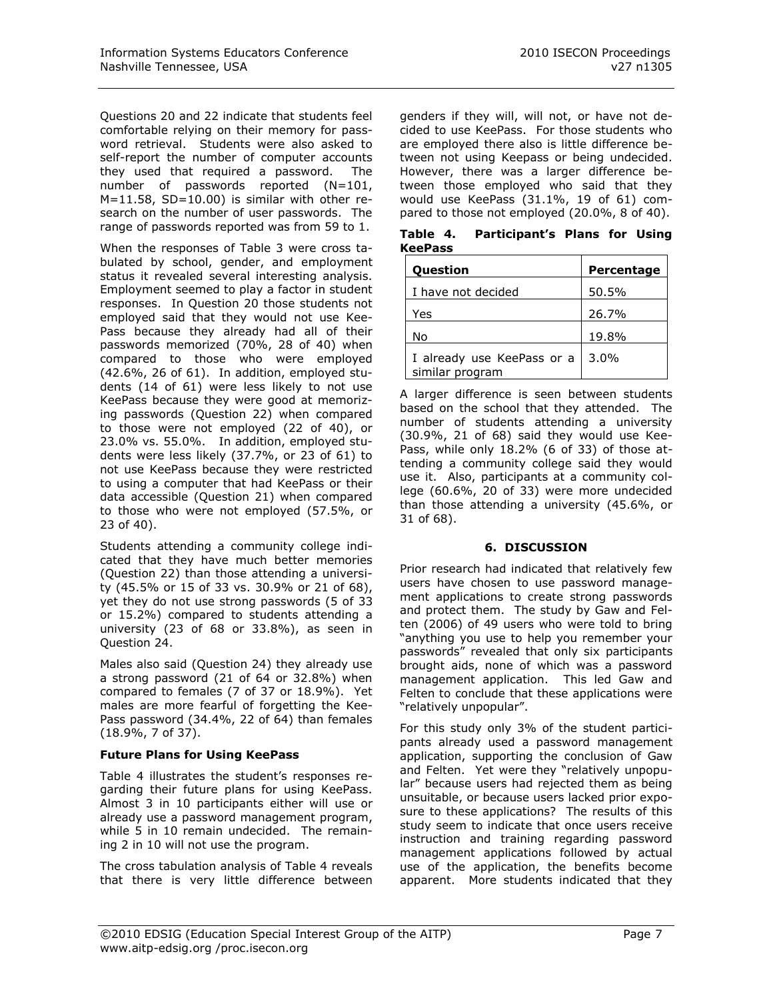Questions 20 and 22 indicate that students feel comfortable relying on their memory for password retrieval. Students were also asked to self-report the number of computer accounts they used that required a password. The number of passwords reported (N=101, M=11.58, SD=10.00) is similar with other research on the number of user passwords. The range of passwords reported was from 59 to 1.

When the responses of Table 3 were cross tabulated by school, gender, and employment status it revealed several interesting analysis. Employment seemed to play a factor in student responses. In Question 20 those students not employed said that they would not use Kee-Pass because they already had all of their passwords memorized (70%, 28 of 40) when compared to those who were employed (42.6%, 26 of 61). In addition, employed students (14 of 61) were less likely to not use KeePass because they were good at memorizing passwords (Question 22) when compared to those were not employed (22 of 40), or 23.0% vs. 55.0%. In addition, employed students were less likely (37.7%, or 23 of 61) to not use KeePass because they were restricted to using a computer that had KeePass or their data accessible (Question 21) when compared to those who were not employed (57.5%, or 23 of 40).

Students attending a community college indicated that they have much better memories (Question 22) than those attending a university (45.5% or 15 of 33 vs. 30.9% or 21 of 68), yet they do not use strong passwords (5 of 33 or 15.2%) compared to students attending a university (23 of 68 or 33.8%), as seen in Question 24.

Males also said (Question 24) they already use a strong password (21 of 64 or 32.8%) when compared to females (7 of 37 or 18.9%). Yet males are more fearful of forgetting the Kee-Pass password (34.4%, 22 of 64) than females (18.9%, 7 of 37).

# **Future Plans for Using KeePass**

Table 4 illustrates the student's responses regarding their future plans for using KeePass. Almost 3 in 10 participants either will use or already use a password management program, while 5 in 10 remain undecided. The remaining 2 in 10 will not use the program.

The cross tabulation analysis of Table 4 reveals that there is very little difference between

genders if they will, will not, or have not decided to use KeePass. For those students who are employed there also is little difference between not using Keepass or being undecided. However, there was a larger difference between those employed who said that they would use KeePass (31.1%, 19 of 61) compared to those not employed (20.0%, 8 of 40).

|                | Table 4. Participant's Plans for Using |  |  |
|----------------|----------------------------------------|--|--|
| <b>KeePass</b> |                                        |  |  |

| <b>Question</b>                               | Percentage |
|-----------------------------------------------|------------|
| I have not decided                            | 50.5%      |
| Yes                                           | 26.7%      |
| No                                            | 19.8%      |
| I already use KeePass or a<br>similar program | $3.0\%$    |

A larger difference is seen between students based on the school that they attended. The number of students attending a university (30.9%, 21 of 68) said they would use Kee-Pass, while only 18.2% (6 of 33) of those attending a community college said they would use it. Also, participants at a community college (60.6%, 20 of 33) were more undecided than those attending a university (45.6%, or 31 of 68).

#### **6. DISCUSSION**

Prior research had indicated that relatively few users have chosen to use password management applications to create strong passwords and protect them. The study by Gaw and Felten (2006) of 49 users who were told to bring "anything you use to help you remember your passwords" revealed that only six participants brought aids, none of which was a password management application. This led Gaw and Felten to conclude that these applications were "relatively unpopular".

For this study only 3% of the student participants already used a password management application, supporting the conclusion of Gaw and Felten. Yet were they "relatively unpopular" because users had rejected them as being unsuitable, or because users lacked prior exposure to these applications? The results of this study seem to indicate that once users receive instruction and training regarding password management applications followed by actual use of the application, the benefits become apparent. More students indicated that they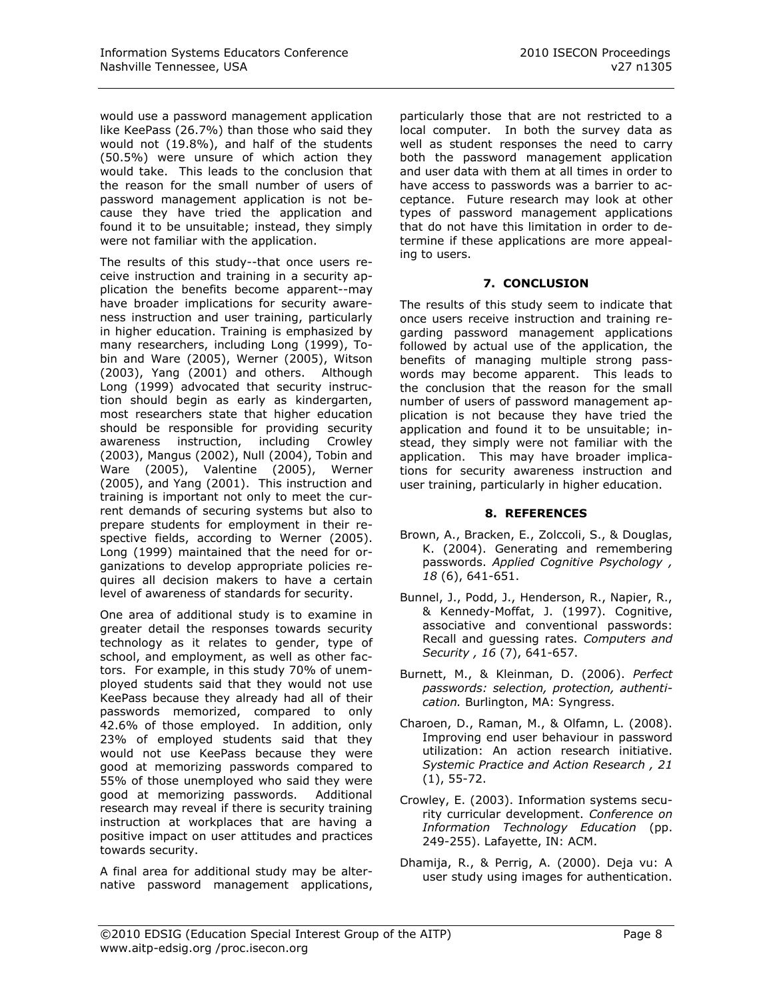would use a password management application like KeePass (26.7%) than those who said they would not (19.8%), and half of the students (50.5%) were unsure of which action they would take. This leads to the conclusion that the reason for the small number of users of password management application is not because they have tried the application and found it to be unsuitable; instead, they simply were not familiar with the application.

The results of this study--that once users receive instruction and training in a security application the benefits become apparent--may have broader implications for security awareness instruction and user training, particularly in higher education. Training is emphasized by many researchers, including Long (1999), Tobin and Ware (2005), Werner (2005), Witson (2003), Yang (2001) and others. Although Long (1999) advocated that security instruction should begin as early as kindergarten, most researchers state that higher education should be responsible for providing security awareness instruction, including Crowley (2003), Mangus (2002), Null (2004), Tobin and Ware (2005), Valentine (2005), Werner (2005), and Yang (2001). This instruction and training is important not only to meet the current demands of securing systems but also to prepare students for employment in their respective fields, according to Werner (2005). Long (1999) maintained that the need for organizations to develop appropriate policies requires all decision makers to have a certain level of awareness of standards for security.

One area of additional study is to examine in greater detail the responses towards security technology as it relates to gender, type of school, and employment, as well as other factors. For example, in this study 70% of unemployed students said that they would not use KeePass because they already had all of their passwords memorized, compared to only 42.6% of those employed. In addition, only 23% of employed students said that they would not use KeePass because they were good at memorizing passwords compared to 55% of those unemployed who said they were good at memorizing passwords. Additional research may reveal if there is security training instruction at workplaces that are having a positive impact on user attitudes and practices towards security.

A final area for additional study may be alternative password management applications,

particularly those that are not restricted to a local computer. In both the survey data as well as student responses the need to carry both the password management application and user data with them at all times in order to have access to passwords was a barrier to acceptance. Future research may look at other types of password management applications that do not have this limitation in order to determine if these applications are more appealing to users.

# **7. CONCLUSION**

The results of this study seem to indicate that once users receive instruction and training regarding password management applications followed by actual use of the application, the benefits of managing multiple strong passwords may become apparent. This leads to the conclusion that the reason for the small number of users of password management application is not because they have tried the application and found it to be unsuitable; instead, they simply were not familiar with the application. This may have broader implications for security awareness instruction and user training, particularly in higher education.

#### **8. REFERENCES**

- Brown, A., Bracken, E., Zolccoli, S., & Douglas, K. (2004). Generating and remembering passwords. *Applied Cognitive Psychology , 18* (6), 641-651.
- Bunnel, J., Podd, J., Henderson, R., Napier, R., & Kennedy-Moffat, J. (1997). Cognitive, associative and conventional passwords: Recall and guessing rates. *Computers and Security , 16* (7), 641-657.
- Burnett, M., & Kleinman, D. (2006). *Perfect passwords: selection, protection, authentication.* Burlington, MA: Syngress.
- Charoen, D., Raman, M., & Olfamn, L. (2008). Improving end user behaviour in password utilization: An action research initiative. *Systemic Practice and Action Research , 21* (1), 55-72.
- Crowley, E. (2003). Information systems security curricular development. *Conference on Information Technology Education* (pp. 249-255). Lafayette, IN: ACM.
- Dhamija, R., & Perrig, A. (2000). Deja vu: A user study using images for authentication.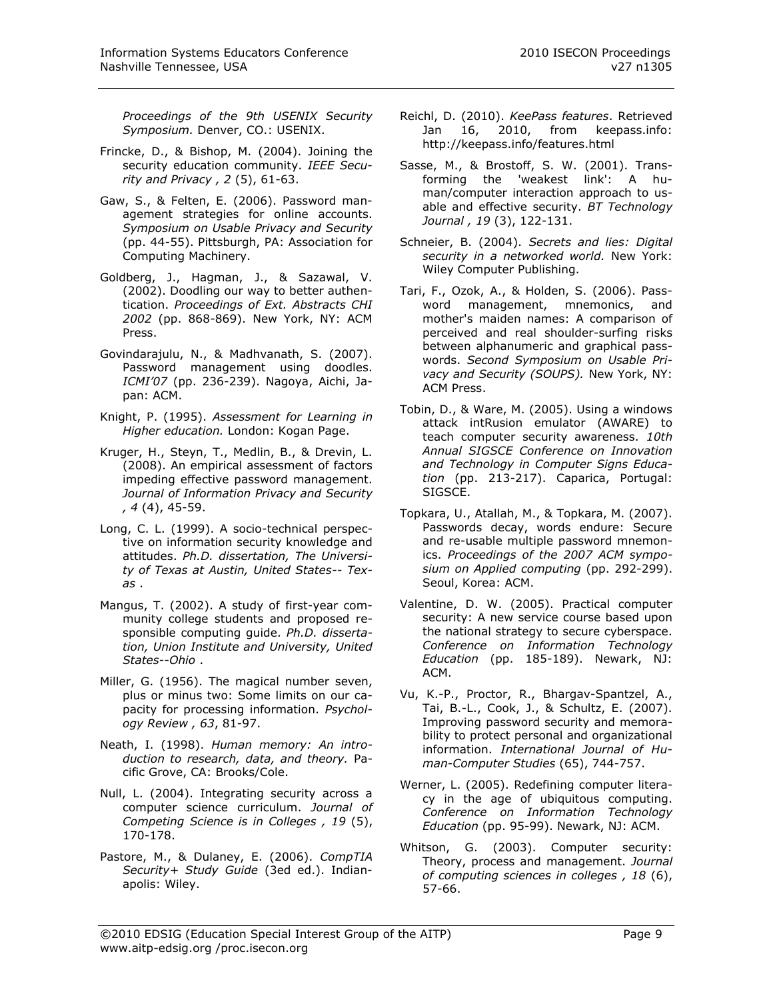*Proceedings of the 9th USENIX Security Symposium.* Denver, CO.: USENIX.

- Frincke, D., & Bishop, M. (2004). Joining the security education community. *IEEE Security and Privacy , 2* (5), 61-63.
- Gaw, S., & Felten, E. (2006). Password management strategies for online accounts. *Symposium on Usable Privacy and Security* (pp. 44-55). Pittsburgh, PA: Association for Computing Machinery.
- Goldberg, J., Hagman, J., & Sazawal, V. (2002). Doodling our way to better authentication. *Proceedings of Ext. Abstracts CHI 2002* (pp. 868-869). New York, NY: ACM Press.
- Govindarajulu, N., & Madhvanath, S. (2007). Password management using doodles. *ICMI'07* (pp. 236-239). Nagoya, Aichi, Japan: ACM.
- Knight, P. (1995). *Assessment for Learning in Higher education.* London: Kogan Page.
- Kruger, H., Steyn, T., Medlin, B., & Drevin, L. (2008). An empirical assessment of factors impeding effective password management. *Journal of Information Privacy and Security , 4* (4), 45-59.
- Long, C. L. (1999). A socio-technical perspective on information security knowledge and attitudes. *Ph.D. dissertation, The University of Texas at Austin, United States-- Texas* .
- Mangus, T. (2002). A study of first-year community college students and proposed responsible computing guide. *Ph.D. dissertation, Union Institute and University, United States--Ohio* .
- Miller, G. (1956). The magical number seven, plus or minus two: Some limits on our capacity for processing information. *Psychology Review , 63*, 81-97.
- Neath, I. (1998). *Human memory: An introduction to research, data, and theory.* Pacific Grove, CA: Brooks/Cole.
- Null, L. (2004). Integrating security across a computer science curriculum. *Journal of Competing Science is in Colleges , 19* (5), 170-178.
- Pastore, M., & Dulaney, E. (2006). *CompTIA Security+ Study Guide* (3ed ed.). Indianapolis: Wiley.
- Reichl, D. (2010). *KeePass features*. Retrieved Jan 16, 2010, from keepass.info: http://keepass.info/features.html
- Sasse, M., & Brostoff, S. W. (2001). Transforming the 'weakest link': A human/computer interaction approach to usable and effective security. *BT Technology Journal , 19* (3), 122-131.
- Schneier, B. (2004). *Secrets and lies: Digital security in a networked world.* New York: Wiley Computer Publishing.
- Tari, F., Ozok, A., & Holden, S. (2006). Password management, mnemonics, and mother's maiden names: A comparison of perceived and real shoulder-surfing risks between alphanumeric and graphical passwords. *Second Symposium on Usable Privacy and Security (SOUPS).* New York, NY: ACM Press.
- Tobin, D., & Ware, M. (2005). Using a windows attack intRusion emulator (AWARE) to teach computer security awareness. *10th Annual SIGSCE Conference on Innovation and Technology in Computer Signs Education* (pp. 213-217). Caparica, Portugal: SIGSCE.
- Topkara, U., Atallah, M., & Topkara, M. (2007). Passwords decay, words endure: Secure and re-usable multiple password mnemonics. *Proceedings of the 2007 ACM symposium on Applied computing* (pp. 292-299). Seoul, Korea: ACM.
- Valentine, D. W. (2005). Practical computer security: A new service course based upon the national strategy to secure cyberspace. *Conference on Information Technology Education* (pp. 185-189). Newark, NJ: ACM.
- Vu, K.-P., Proctor, R., Bhargav-Spantzel, A., Tai, B.-L., Cook, J., & Schultz, E. (2007). Improving password security and memorability to protect personal and organizational information. *International Journal of Human-Computer Studies* (65), 744-757.
- Werner, L. (2005). Redefining computer literacy in the age of ubiquitous computing. *Conference on Information Technology Education* (pp. 95-99). Newark, NJ: ACM.
- Whitson, G. (2003). Computer security: Theory, process and management. *Journal of computing sciences in colleges , 18* (6), 57-66.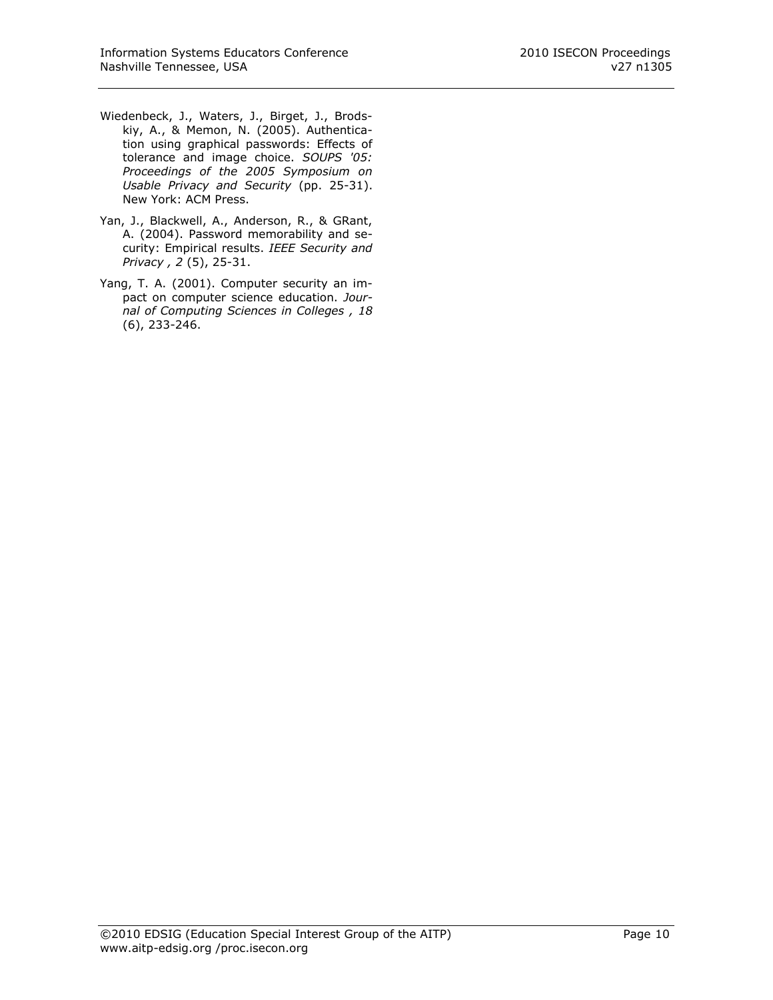- Wiedenbeck, J., Waters, J., Birget, J., Brodskiy, A., & Memon, N. (2005). Authentication using graphical passwords: Effects of tolerance and image choice. *SOUPS '05: Proceedings of the 2005 Symposium on Usable Privacy and Security* (pp. 25-31). New York: ACM Press.
- Yan, J., Blackwell, A., Anderson, R., & GRant, A. (2004). Password memorability and security: Empirical results. *IEEE Security and Privacy , 2* (5), 25-31.
- Yang, T. A. (2001). Computer security an impact on computer science education. *Journal of Computing Sciences in Colleges , 18* (6), 233-246.